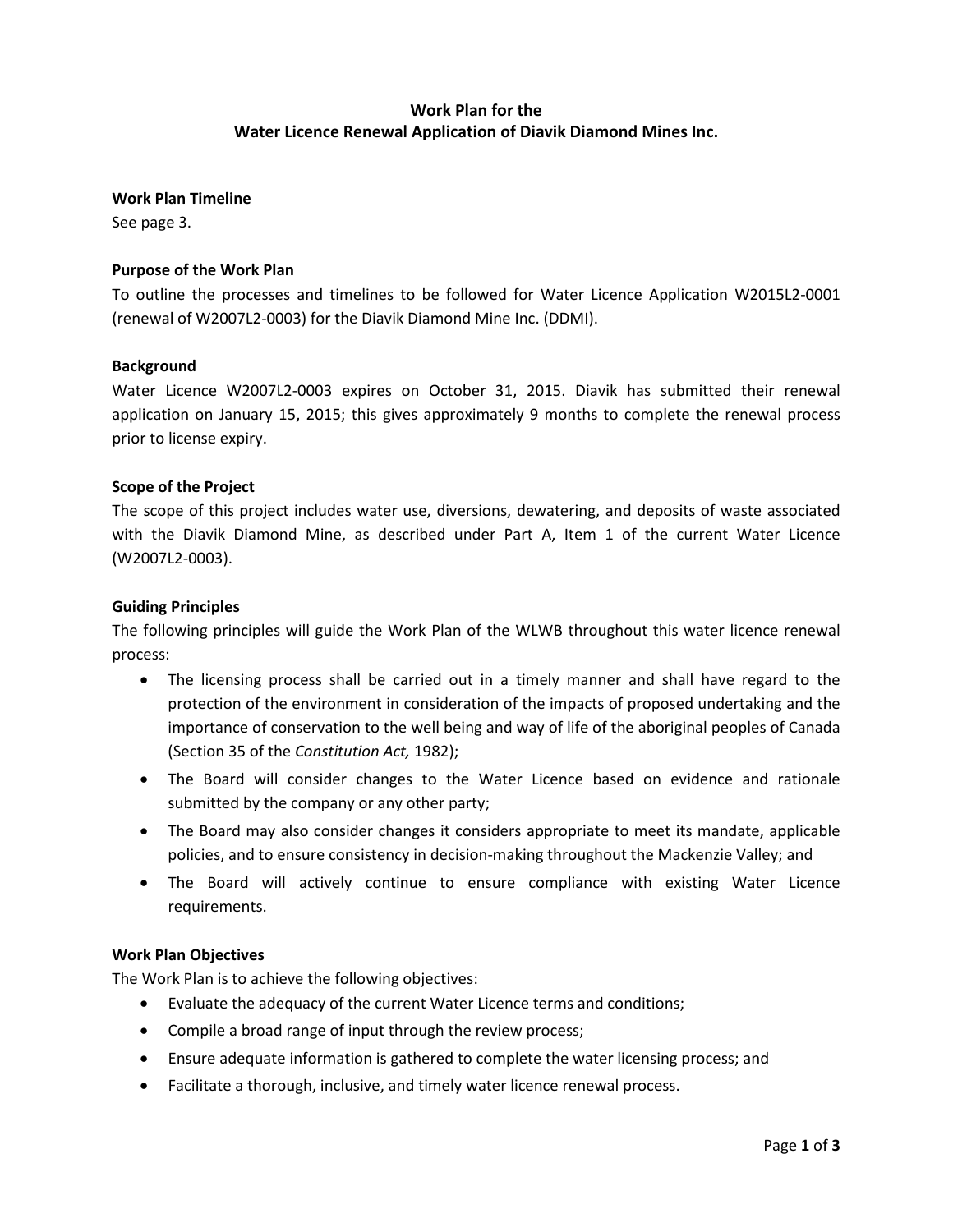# **Work Plan for the Water Licence Renewal Application of Diavik Diamond Mines Inc.**

**Work Plan Timeline**

See page 3.

## **Purpose of the Work Plan**

To outline the processes and timelines to be followed for Water Licence Application W2015L2-0001 (renewal of W2007L2-0003) for the Diavik Diamond Mine Inc. (DDMI).

### **Background**

Water Licence W2007L2-0003 expires on October 31, 2015. Diavik has submitted their renewal application on January 15, 2015; this gives approximately 9 months to complete the renewal process prior to license expiry.

### **Scope of the Project**

The scope of this project includes water use, diversions, dewatering, and deposits of waste associated with the Diavik Diamond Mine, as described under Part A, Item 1 of the current Water Licence (W2007L2-0003).

#### **Guiding Principles**

The following principles will guide the Work Plan of the WLWB throughout this water licence renewal process:

- The licensing process shall be carried out in a timely manner and shall have regard to the protection of the environment in consideration of the impacts of proposed undertaking and the importance of conservation to the well being and way of life of the aboriginal peoples of Canada (Section 35 of the *Constitution Act,* 1982);
- The Board will consider changes to the Water Licence based on evidence and rationale submitted by the company or any other party;
- The Board may also consider changes it considers appropriate to meet its mandate, applicable policies, and to ensure consistency in decision-making throughout the Mackenzie Valley; and
- The Board will actively continue to ensure compliance with existing Water Licence requirements.

### **Work Plan Objectives**

The Work Plan is to achieve the following objectives:

- Evaluate the adequacy of the current Water Licence terms and conditions;
- Compile a broad range of input through the review process;
- Ensure adequate information is gathered to complete the water licensing process; and
- Facilitate a thorough, inclusive, and timely water licence renewal process.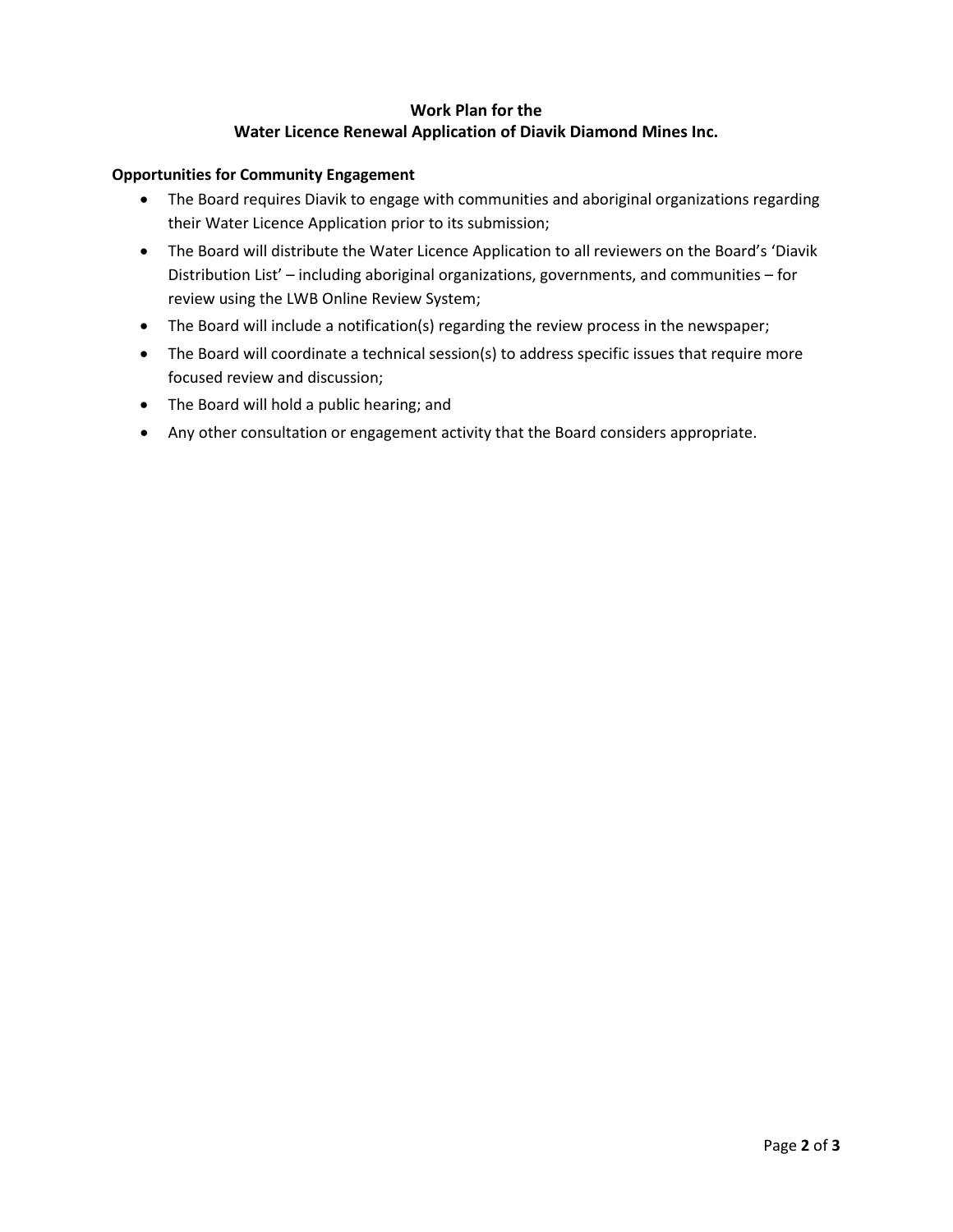## **Work Plan for the Water Licence Renewal Application of Diavik Diamond Mines Inc.**

## **Opportunities for Community Engagement**

- The Board requires Diavik to engage with communities and aboriginal organizations regarding their Water Licence Application prior to its submission;
- The Board will distribute the Water Licence Application to all reviewers on the Board's 'Diavik Distribution List' – including aboriginal organizations, governments, and communities – for review using the LWB Online Review System;
- The Board will include a notification(s) regarding the review process in the newspaper;
- The Board will coordinate a technical session(s) to address specific issues that require more focused review and discussion;
- The Board will hold a public hearing; and
- Any other consultation or engagement activity that the Board considers appropriate.